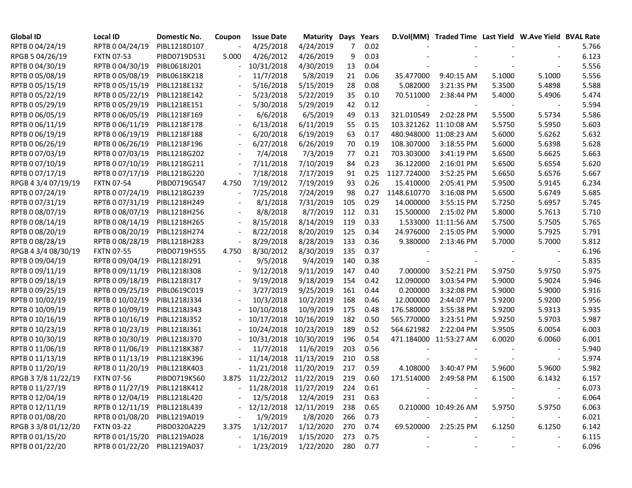| Global ID           | <b>Local ID</b>              | Domestic No. | Coupon                   | <b>Issue Date</b>         | <b>Maturity Days</b>  |     | Years    |             | D.Vol(MM) Traded Time Last Yield W.Ave Yield BVAL Rate |        |        |       |
|---------------------|------------------------------|--------------|--------------------------|---------------------------|-----------------------|-----|----------|-------------|--------------------------------------------------------|--------|--------|-------|
| RPTB 0 04/24/19     | RPTB 0 04/24/19              | PIBL1218D107 |                          | 4/25/2018                 | 4/24/2019             | 7   | 0.02     |             |                                                        |        |        | 5.766 |
| RPGB 5 04/26/19     | <b>FXTN 07-53</b>            | PIBD0719D531 | 5.000                    | 4/26/2012                 | 4/26/2019             | 9   | 0.03     |             |                                                        |        |        | 6.123 |
| RPTB 0 04/30/19     | RPTB 0 04/30/19              | PIBL0618J201 |                          | 10/31/2018                | 4/30/2019             | 13  | 0.04     |             |                                                        |        |        | 5.556 |
| RPTB 0 05/08/19     | RPTB 0 05/08/19              | PIBL0618K218 |                          | 11/7/2018                 | 5/8/2019              | 21  | 0.06     | 35.477000   | 9:40:15 AM                                             | 5.1000 | 5.1000 | 5.556 |
| RPTB 0 05/15/19     | RPTB 0 05/15/19              | PIBL1218E132 |                          | 5/16/2018                 | 5/15/2019             | 28  | 0.08     | 5.082000    | 3:21:35 PM                                             | 5.3500 | 5.4898 | 5.588 |
| RPTB 0 05/22/19     | RPTB 0 05/22/19              | PIBL1218E142 |                          | 5/23/2018                 | 5/22/2019             | 35  | 0.10     | 70.511000   | 2:38:44 PM                                             | 5.4000 | 5.4906 | 5.474 |
| RPTB 0 05/29/19     | RPTB 0 05/29/19              | PIBL1218E151 |                          | 5/30/2018                 | 5/29/2019             | 42  | 0.12     |             |                                                        |        |        | 5.594 |
| RPTB 0 06/05/19     | RPTB 0 06/05/19              | PIBL1218F169 |                          | 6/6/2018                  | 6/5/2019              | 49  | 0.13     | 321.010549  | 2:02:28 PM                                             | 5.5500 | 5.5734 | 5.586 |
| RPTB 0 06/11/19     | RPTB 0 06/11/19              | PIBL1218F178 | $\blacksquare$           | 6/13/2018                 | 6/11/2019             | 55  | 0.15     |             | 103.321262 11:10:08 AM                                 | 5.5750 | 5.5950 | 5.603 |
| RPTB 0 06/19/19     | RPTB 0 06/19/19              | PIBL1218F188 | $\overline{\phantom{a}}$ | 6/20/2018                 | 6/19/2019             | 63  | 0.17     |             | 480.948000 11:08:23 AM                                 | 5.6000 | 5.6262 | 5.632 |
| RPTB 0 06/26/19     | RPTB 0 06/26/19              | PIBL1218F196 |                          | 6/27/2018                 | 6/26/2019             | 70  | 0.19     | 108.307000  | 3:18:55 PM                                             | 5.6000 | 5.6398 | 5.628 |
| RPTB 0 07/03/19     | RPTB 0 07/03/19              | PIBL1218G202 |                          | 7/4/2018                  | 7/3/2019              | 77  | 0.21     | 703.303000  | 3:41:19 PM                                             | 5.6500 | 5.6625 | 5.663 |
| RPTB 0 07/10/19     | RPTB 0 07/10/19              | PIBL1218G211 | $\overline{\phantom{a}}$ | 7/11/2018                 | 7/10/2019             | 84  | 0.23     | 36.122000   | 2:16:01 PM                                             | 5.6500 | 5.6554 | 5.620 |
| RPTB 0 07/17/19     | RPTB 0 07/17/19              | PIBL1218G220 | $\overline{\phantom{a}}$ | 7/18/2018                 | 7/17/2019             | 91  | 0.25     | 1127.724000 | 3:52:25 PM                                             | 5.6650 | 5.6576 | 5.667 |
| RPGB 4 3/4 07/19/19 | <b>FXTN 07-54</b>            | PIBD0719G547 | 4.750                    | 7/19/2012                 | 7/19/2019             | 93  | 0.26     | 15.410000   | 2:05:41 PM                                             | 5.9500 | 5.9145 | 6.234 |
| RPTB 0 07/24/19     | RPTB 0 07/24/19              | PIBL1218G239 |                          | 7/25/2018                 | 7/24/2019             | 98  | 0.27     | 1148.610770 | 3:16:08 PM                                             | 5.6500 | 5.6749 | 5.685 |
| RPTB 0 07/31/19     | RPTB 0 07/31/19              | PIBL1218H249 |                          | 8/1/2018                  | 7/31/2019             | 105 | 0.29     | 14.000000   | 3:55:15 PM                                             | 5.7250 | 5.6957 | 5.745 |
| RPTB 0 08/07/19     | RPTB 0 08/07/19              | PIBL1218H256 |                          | 8/8/2018                  | 8/7/2019              | 112 | 0.31     | 15.500000   | 2:15:02 PM                                             | 5.8000 | 5.7613 | 5.710 |
| RPTB 0 08/14/19     | RPTB 0 08/14/19              | PIBL1218H265 | $\blacksquare$           | 8/15/2018                 | 8/14/2019             | 119 | 0.33     |             | 1.533000 11:11:56 AM                                   | 5.7500 | 5.7505 | 5.765 |
| RPTB 0 08/20/19     | RPTB 0 08/20/19              | PIBL1218H274 |                          | 8/22/2018                 | 8/20/2019             | 125 | 0.34     | 24.976000   | 2:15:05 PM                                             | 5.9000 | 5.7925 | 5.791 |
| RPTB 0 08/28/19     | RPTB 0 08/28/19              | PIBL1218H283 |                          | 8/29/2018                 | 8/28/2019             | 133 | 0.36     | 9.380000    | 2:13:46 PM                                             | 5.7000 | 5.7000 | 5.812 |
| RPGB 4 3/4 08/30/19 | <b>FXTN 07-55</b>            | PIBD0719H555 | 4.750                    | 8/30/2012                 | 8/30/2019             | 135 | 0.37     |             |                                                        |        |        | 6.196 |
| RPTB 0 09/04/19     | RPTB 0 09/04/19              | PIBL1218I291 |                          | 9/5/2018                  | 9/4/2019              | 140 | 0.38     |             |                                                        |        |        | 5.835 |
| RPTB 0 09/11/19     | RPTB 0 09/11/19              | PIBL1218I308 |                          | 9/12/2018                 | 9/11/2019             | 147 | 0.40     | 7.000000    | 3:52:21 PM                                             | 5.9750 | 5.9750 | 5.975 |
| RPTB 0 09/18/19     | RPTB 0 09/18/19              | PIBL1218I317 |                          | 9/19/2018                 | 9/18/2019             | 154 | 0.42     | 12.090000   | 3:03:54 PM                                             | 5.9000 | 5.9024 | 5.946 |
| RPTB 0 09/25/19     | RPTB 0 09/25/19              | PIBL0619C019 |                          | 3/27/2019                 | 9/25/2019             | 161 | 0.44     | 0.200000    | 3:32:08 PM                                             | 5.9000 | 5.9000 | 5.916 |
| RPTB 0 10/02/19     | RPTB 0 10/02/19              | PIBL1218J334 |                          | 10/3/2018                 | 10/2/2019             | 168 | 0.46     | 12.000000   | 2:44:07 PM                                             | 5.9200 | 5.9200 | 5.956 |
| RPTB 0 10/09/19     | RPTB 0 10/09/19              | PIBL1218J343 |                          | 10/10/2018                | 10/9/2019             | 175 | 0.48     | 176.580000  | 3:55:38 PM                                             | 5.9200 | 5.9313 | 5.935 |
| RPTB 0 10/16/19     | RPTB 0 10/16/19              | PIBL1218J352 |                          | 10/17/2018                | 10/16/2019            | 182 | 0.50     | 565.770000  | 3:23:51 PM                                             | 5.9250 | 5.9703 | 5.987 |
| RPTB 0 10/23/19     | RPTB 0 10/23/19              | PIBL1218J361 |                          | 10/24/2018                | 10/23/2019            | 189 | 0.52     | 564.621982  | 2:22:04 PM                                             | 5.9505 | 6.0054 | 6.003 |
| RPTB 0 10/30/19     | RPTB 0 10/30/19              | PIBL1218J370 |                          | 10/31/2018                | 10/30/2019            | 196 | 0.54     |             | 471.184000 11:53:27 AM                                 | 6.0020 | 6.0060 | 6.001 |
| RPTB 0 11/06/19     | RPTB 0 11/06/19              | PIBL1218K387 |                          | 11/7/2018                 | 11/6/2019             | 203 | 0.56     |             |                                                        |        |        | 5.940 |
| RPTB 0 11/13/19     | RPTB 0 11/13/19              | PIBL1218K396 |                          | 11/14/2018                | 11/13/2019            | 210 | 0.58     |             |                                                        |        |        | 5.974 |
| RPTB 0 11/20/19     | RPTB 0 11/20/19              | PIBL1218K403 |                          |                           | 11/21/2018 11/20/2019 | 217 | 0.59     | 4.108000    | 3:40:47 PM                                             | 5.9600 | 5.9600 | 5.982 |
| RPGB 37/8 11/22/19  | <b>FXTN 07-56</b>            | PIBD0719K560 | 3.875                    |                           | 11/22/2012 11/22/2019 | 219 | 0.60     | 171.514000  | 2:49:58 PM                                             | 6.1500 | 6.1432 | 6.157 |
| RPTB 0 11/27/19     | RPTB 0 11/27/19              | PIBL1218K412 |                          | 11/28/2018 11/27/2019 224 |                       |     | 0.61     |             |                                                        |        |        | 6.073 |
| RPTB 0 12/04/19     | RPTB 0 12/04/19              | PIBL1218L420 |                          | 12/5/2018                 | 12/4/2019             |     | 231 0.63 |             |                                                        |        |        | 6.064 |
| RPTB 0 12/11/19     | RPTB 0 12/11/19              | PIBL1218L439 |                          |                           | 12/12/2018 12/11/2019 | 238 | 0.65     |             | 0.210000 10:49:26 AM                                   | 5.9750 | 5.9750 | 6.063 |
| RPTB 0 01/08/20     | RPTB 0 01/08/20              | PIBL1219A019 |                          | 1/9/2019                  | 1/8/2020              | 266 | 0.73     |             |                                                        |        |        | 6.021 |
| RPGB 3 3/8 01/12/20 | <b>FXTN 03-22</b>            | PIBD0320A229 | 3.375                    | 1/12/2017                 | 1/12/2020             | 270 | 0.74     |             | 69.520000 2:25:25 PM                                   | 6.1250 | 6.1250 | 6.142 |
| RPTB 0 01/15/20     | RPTB 0 01/15/20 PIBL1219A028 |              | $\blacksquare$           | 1/16/2019                 | 1/15/2020             | 273 | 0.75     |             |                                                        |        |        | 6.115 |
| RPTB 0 01/22/20     | RPTB 0 01/22/20 PIBL1219A037 |              |                          | 1/23/2019                 | 1/22/2020             |     | 280 0.77 |             |                                                        |        |        | 6.096 |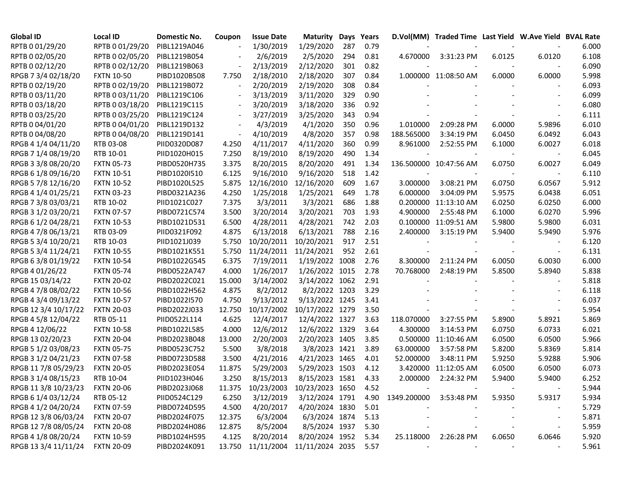| <b>Global ID</b>     | <b>Local ID</b>   | Domestic No. | Coupon                   | <b>Issue Date</b>                      | Maturity        | Days | Years |             | D.Vol(MM) Traded Time Last Yield W.Ave Yield BVAL Rate |        |                          |       |
|----------------------|-------------------|--------------|--------------------------|----------------------------------------|-----------------|------|-------|-------------|--------------------------------------------------------|--------|--------------------------|-------|
| RPTB 0 01/29/20      | RPTB 0 01/29/20   | PIBL1219A046 |                          | 1/30/2019                              | 1/29/2020       | 287  | 0.79  |             |                                                        |        |                          | 6.000 |
| RPTB 0 02/05/20      | RPTB 0 02/05/20   | PIBL1219B054 |                          | 2/6/2019                               | 2/5/2020        | 294  | 0.81  | 4.670000    | 3:31:23 PM                                             | 6.0125 | 6.0120                   | 6.108 |
| RPTB 0 02/12/20      | RPTB 0 02/12/20   | PIBL1219B063 |                          | 2/13/2019                              | 2/12/2020       | 301  | 0.82  |             |                                                        |        |                          | 6.090 |
| RPGB 7 3/4 02/18/20  | <b>FXTN 10-50</b> | PIBD1020B508 | 7.750                    | 2/18/2010                              | 2/18/2020       | 307  | 0.84  |             | 1.000000 11:08:50 AM                                   | 6.0000 | 6.0000                   | 5.998 |
| RPTB 0 02/19/20      | RPTB 0 02/19/20   | PIBL1219B072 |                          | 2/20/2019                              | 2/19/2020       | 308  | 0.84  |             |                                                        |        |                          | 6.093 |
| RPTB 0 03/11/20      | RPTB 0 03/11/20   | PIBL1219C106 |                          | 3/13/2019                              | 3/11/2020       | 329  | 0.90  |             |                                                        |        |                          | 6.099 |
| RPTB 0 03/18/20      | RPTB 0 03/18/20   | PIBL1219C115 | $\overline{\phantom{a}}$ | 3/20/2019                              | 3/18/2020       | 336  | 0.92  |             |                                                        |        |                          | 6.080 |
| RPTB 0 03/25/20      | RPTB 0 03/25/20   | PIBL1219C124 | $\overline{\phantom{a}}$ | 3/27/2019                              | 3/25/2020       | 343  | 0.94  |             |                                                        |        |                          | 6.111 |
| RPTB 0 04/01/20      | RPTB 0 04/01/20   | PIBL1219D132 | $\sim$                   | 4/3/2019                               | 4/1/2020        | 350  | 0.96  | 1.010000    | 2:09:28 PM                                             | 6.0000 | 5.9896                   | 6.010 |
| RPTB 0 04/08/20      | RPTB 0 04/08/20   | PIBL1219D141 | $\overline{\phantom{a}}$ | 4/10/2019                              | 4/8/2020        | 357  | 0.98  | 188.565000  | 3:34:19 PM                                             | 6.0450 | 6.0492                   | 6.043 |
| RPGB 4 1/4 04/11/20  | RTB 03-08         | PIID0320D087 | 4.250                    | 4/11/2017                              | 4/11/2020       | 360  | 0.99  | 8.961000    | 2:52:55 PM                                             | 6.1000 | 6.0027                   | 6.018 |
| RPGB 7 1/4 08/19/20  | RTB 10-01         | PIID1020H015 | 7.250                    | 8/19/2010                              | 8/19/2020       | 490  | 1.34  |             |                                                        |        |                          | 6.045 |
| RPGB 3 3/8 08/20/20  | <b>FXTN 05-73</b> | PIBD0520H735 | 3.375                    | 8/20/2015                              | 8/20/2020       | 491  | 1.34  |             | 136.500000 10:47:56 AM                                 | 6.0750 | 6.0027                   | 6.049 |
| RPGB 6 1/8 09/16/20  | <b>FXTN 10-51</b> | PIBD1020I510 | 6.125                    | 9/16/2010                              | 9/16/2020       | 518  | 1.42  |             |                                                        |        |                          | 6.110 |
| RPGB 5 7/8 12/16/20  | <b>FXTN 10-52</b> | PIBD1020L525 | 5.875                    | 12/16/2010                             | 12/16/2020      | 609  | 1.67  | 3.000000    | 3:08:21 PM                                             | 6.0750 | 6.0567                   | 5.912 |
| RPGB 4 1/4 01/25/21  | <b>FXTN 03-23</b> | PIBD0321A236 | 4.250                    | 1/25/2018                              | 1/25/2021       | 649  | 1.78  | 6.000000    | 3:04:09 PM                                             | 5.9575 | 6.0438                   | 6.051 |
| RPGB 7 3/8 03/03/21  | RTB 10-02         | PIID1021C027 | 7.375                    | 3/3/2011                               | 3/3/2021        | 686  | 1.88  |             | 0.200000 11:13:10 AM                                   | 6.0250 | 6.0250                   | 6.000 |
| RPGB 3 1/2 03/20/21  | <b>FXTN 07-57</b> | PIBD0721C574 | 3.500                    | 3/20/2014                              | 3/20/2021       | 703  | 1.93  | 4.900000    | 2:55:48 PM                                             | 6.1000 | 6.0270                   | 5.996 |
| RPGB 6 1/2 04/28/21  | <b>FXTN 10-53</b> | PIBD1021D531 | 6.500                    | 4/28/2011                              | 4/28/2021       | 742  | 2.03  |             | 0.100000 11:09:51 AM                                   | 5.9800 | 5.9800                   | 6.031 |
| RPGB 4 7/8 06/13/21  | RTB 03-09         | PIID0321F092 | 4.875                    | 6/13/2018                              | 6/13/2021       | 788  | 2.16  | 2.400000    | 3:15:19 PM                                             | 5.9400 | 5.9490                   | 5.976 |
| RPGB 5 3/4 10/20/21  | RTB 10-03         | PIID1021J039 | 5.750                    | 10/20/2011                             | 10/20/2021      | 917  | 2.51  |             |                                                        |        |                          | 6.120 |
| RPGB 5 3/4 11/24/21  | <b>FXTN 10-55</b> | PIBD1021K551 | 5.750                    | 11/24/2011                             | 11/24/2021      | 952  | 2.61  |             |                                                        |        |                          | 6.131 |
| RPGB 63/8 01/19/22   | <b>FXTN 10-54</b> | PIBD1022G545 | 6.375                    | 7/19/2011                              | 1/19/2022 1008  |      | 2.76  | 8.300000    | 2:11:24 PM                                             | 6.0050 | 6.0030                   | 6.000 |
| RPGB 4 01/26/22      | <b>FXTN 05-74</b> | PIBD0522A747 | 4.000                    | 1/26/2017                              | 1/26/2022 1015  |      | 2.78  | 70.768000   | 2:48:19 PM                                             | 5.8500 | 5.8940                   | 5.838 |
| RPGB 15 03/14/22     | <b>FXTN 20-02</b> | PIBD2022C021 | 15.000                   | 3/14/2002                              | 3/14/2022 1062  |      | 2.91  |             |                                                        |        |                          | 5.818 |
| RPGB 4 7/8 08/02/22  | <b>FXTN 10-56</b> | PIBD1022H562 | 4.875                    | 8/2/2012                               | 8/2/2022 1203   |      | 3.29  |             |                                                        |        |                          | 6.118 |
| RPGB 4 3/4 09/13/22  | <b>FXTN 10-57</b> | PIBD1022I570 | 4.750                    | 9/13/2012                              | 9/13/2022 1245  |      | 3.41  |             |                                                        |        |                          | 6.037 |
| RPGB 12 3/4 10/17/22 | <b>FXTN 20-03</b> | PIBD2022J033 | 12.750                   | 10/17/2002                             | 10/17/2022 1279 |      | 3.50  |             |                                                        |        |                          | 5.954 |
| RPGB 4 5/8 12/04/22  | RTB 05-11         | PIID0522L114 | 4.625                    | 12/4/2017                              | 12/4/2022 1327  |      | 3.63  | 118.070000  | 3:27:55 PM                                             | 5.8900 | 5.8921                   | 5.869 |
| RPGB 4 12/06/22      | <b>FXTN 10-58</b> | PIBD1022L585 | 4.000                    | 12/6/2012                              | 12/6/2022 1329  |      | 3.64  | 4.300000    | 3:14:53 PM                                             | 6.0750 | 6.0733                   | 6.021 |
| RPGB 13 02/20/23     | <b>FXTN 20-04</b> | PIBD2023B048 | 13.000                   | 2/20/2003                              | 2/20/2023 1405  |      | 3.85  | 0.500000    | 11:10:46 AM                                            | 6.0500 | 6.0500                   | 5.966 |
| RPGB 5 1/2 03/08/23  | <b>FXTN 05-75</b> | PIBD0523C752 | 5.500                    | 3/8/2018                               | 3/8/2023 1421   |      | 3.89  | 63.000000   | 3:57:58 PM                                             | 5.8200 | 5.8369                   | 5.814 |
| RPGB 3 1/2 04/21/23  | <b>FXTN 07-58</b> | PIBD0723D588 | 3.500                    | 4/21/2016                              | 4/21/2023 1465  |      | 4.01  | 52.000000   | 3:48:11 PM                                             | 5.9250 | 5.9288                   | 5.906 |
| RPGB 11 7/8 05/29/23 | <b>FXTN 20-05</b> | PIBD2023E054 | 11.875                   | 5/29/2003                              | 5/29/2023 1503  |      | 4.12  |             | 3.420000 11:12:05 AM                                   | 6.0500 | 6.0500                   | 6.073 |
| RPGB 3 1/4 08/15/23  | RTB 10-04         | PIID1023H046 | 3.250                    | 8/15/2013                              | 8/15/2023 1581  |      | 4.33  | 2.000000    | 2:24:32 PM                                             | 5.9400 | 5.9400                   | 6.252 |
| RPGB 11 3/8 10/23/23 | <b>FXTN 20-06</b> | PIBD2023J068 |                          | 11.375 10/23/2003 10/23/2023 1650      |                 |      | 4.52  |             |                                                        |        |                          | 5.944 |
| RPGB 6 1/4 03/12/24  | RTB 05-12         | PIID0524C129 | 6.250                    | 3/12/2019                              | 3/12/2024 1791  |      | 4.90  | 1349.200000 | 3:53:48 PM                                             | 5.9350 | 5.9317                   | 5.934 |
| RPGB 4 1/2 04/20/24  | <b>FXTN 07-59</b> | PIBD0724D595 | 4.500                    | 4/20/2017                              | 4/20/2024 1830  |      | 5.01  |             |                                                        |        |                          | 5.729 |
| RPGB 12 3/8 06/03/24 | <b>FXTN 20-07</b> | PIBD2024F075 | 12.375                   | 6/3/2004                               | 6/3/2024 1874   |      | 5.13  |             |                                                        |        | $\overline{\phantom{a}}$ | 5.871 |
| RPGB 12 7/8 08/05/24 | <b>FXTN 20-08</b> | PIBD2024H086 | 12.875                   | 8/5/2004                               | 8/5/2024 1937   |      | 5.30  |             |                                                        |        |                          | 5.959 |
| RPGB 4 1/8 08/20/24  | <b>FXTN 10-59</b> | PIBD1024H595 | 4.125                    | 8/20/2014                              | 8/20/2024 1952  |      | 5.34  | 25.118000   | 2:26:28 PM                                             | 6.0650 | 6.0646                   | 5.920 |
| RPGB 13 3/4 11/11/24 | <b>FXTN 20-09</b> | PIBD2024K091 |                          | 13.750 11/11/2004 11/11/2024 2035 5.57 |                 |      |       |             |                                                        |        |                          | 5.961 |